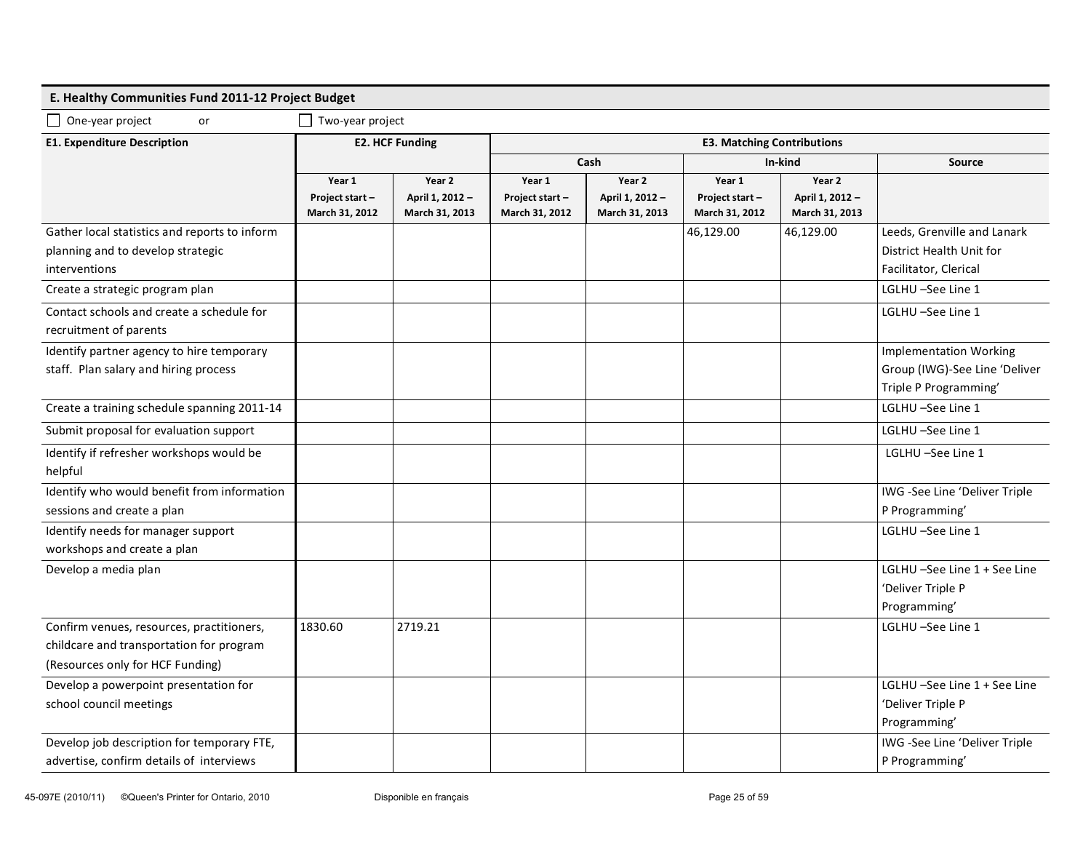## **E. Healthy Communities Fund 2011-12 Project Budget**

 $\Box$  One-year project or  $\Box$  Two-year project

| <b>E1. Expenditure Description</b>                                                                  | <b>E2. HCF Funding</b>                     |                                             | <b>E3. Matching Contributions</b>          |                                             |                                            |                                             |                                                                                         |  |
|-----------------------------------------------------------------------------------------------------|--------------------------------------------|---------------------------------------------|--------------------------------------------|---------------------------------------------|--------------------------------------------|---------------------------------------------|-----------------------------------------------------------------------------------------|--|
|                                                                                                     |                                            |                                             | Cash                                       |                                             | In-kind                                    |                                             | Source                                                                                  |  |
|                                                                                                     | Year 1<br>Project start-<br>March 31, 2012 | Year 2<br>April 1, 2012 -<br>March 31, 2013 | Year 1<br>Project start-<br>March 31, 2012 | Year 2<br>April 1, 2012 -<br>March 31, 2013 | Year 1<br>Project start-<br>March 31, 2012 | Year 2<br>April 1, 2012 -<br>March 31, 2013 |                                                                                         |  |
| Gather local statistics and reports to inform<br>planning and to develop strategic<br>interventions |                                            |                                             |                                            |                                             | 46,129.00                                  | 46,129.00                                   | Leeds, Grenville and Lanark<br>District Health Unit for<br>Facilitator, Clerical        |  |
| Create a strategic program plan                                                                     |                                            |                                             |                                            |                                             |                                            |                                             | LGLHU-See Line 1                                                                        |  |
| Contact schools and create a schedule for<br>recruitment of parents                                 |                                            |                                             |                                            |                                             |                                            |                                             | LGLHU-See Line 1                                                                        |  |
| Identify partner agency to hire temporary<br>staff. Plan salary and hiring process                  |                                            |                                             |                                            |                                             |                                            |                                             | <b>Implementation Working</b><br>Group (IWG)-See Line 'Deliver<br>Triple P Programming' |  |
| Create a training schedule spanning 2011-14                                                         |                                            |                                             |                                            |                                             |                                            |                                             | LGLHU-See Line 1                                                                        |  |
| Submit proposal for evaluation support                                                              |                                            |                                             |                                            |                                             |                                            |                                             | LGLHU-See Line 1                                                                        |  |
| Identify if refresher workshops would be<br>helpful                                                 |                                            |                                             |                                            |                                             |                                            |                                             | LGLHU-See Line 1                                                                        |  |
| Identify who would benefit from information<br>sessions and create a plan                           |                                            |                                             |                                            |                                             |                                            |                                             | IWG -See Line 'Deliver Triple<br>P Programming'                                         |  |
| Identify needs for manager support<br>workshops and create a plan                                   |                                            |                                             |                                            |                                             |                                            |                                             | LGLHU-See Line 1                                                                        |  |
| Develop a media plan                                                                                |                                            |                                             |                                            |                                             |                                            |                                             | LGLHU-See Line 1 + See Line<br>'Deliver Triple P<br>Programming'                        |  |
| Confirm venues, resources, practitioners,<br>childcare and transportation for program               | 1830.60                                    | 2719.21                                     |                                            |                                             |                                            |                                             | LGLHU-See Line 1                                                                        |  |
| (Resources only for HCF Funding)                                                                    |                                            |                                             |                                            |                                             |                                            |                                             |                                                                                         |  |
| Develop a powerpoint presentation for<br>school council meetings                                    |                                            |                                             |                                            |                                             |                                            |                                             | LGLHU-See Line 1 + See Line<br>'Deliver Triple P<br>Programming'                        |  |
| Develop job description for temporary FTE,<br>advertise, confirm details of interviews              |                                            |                                             |                                            |                                             |                                            |                                             | IWG -See Line 'Deliver Triple<br>P Programming'                                         |  |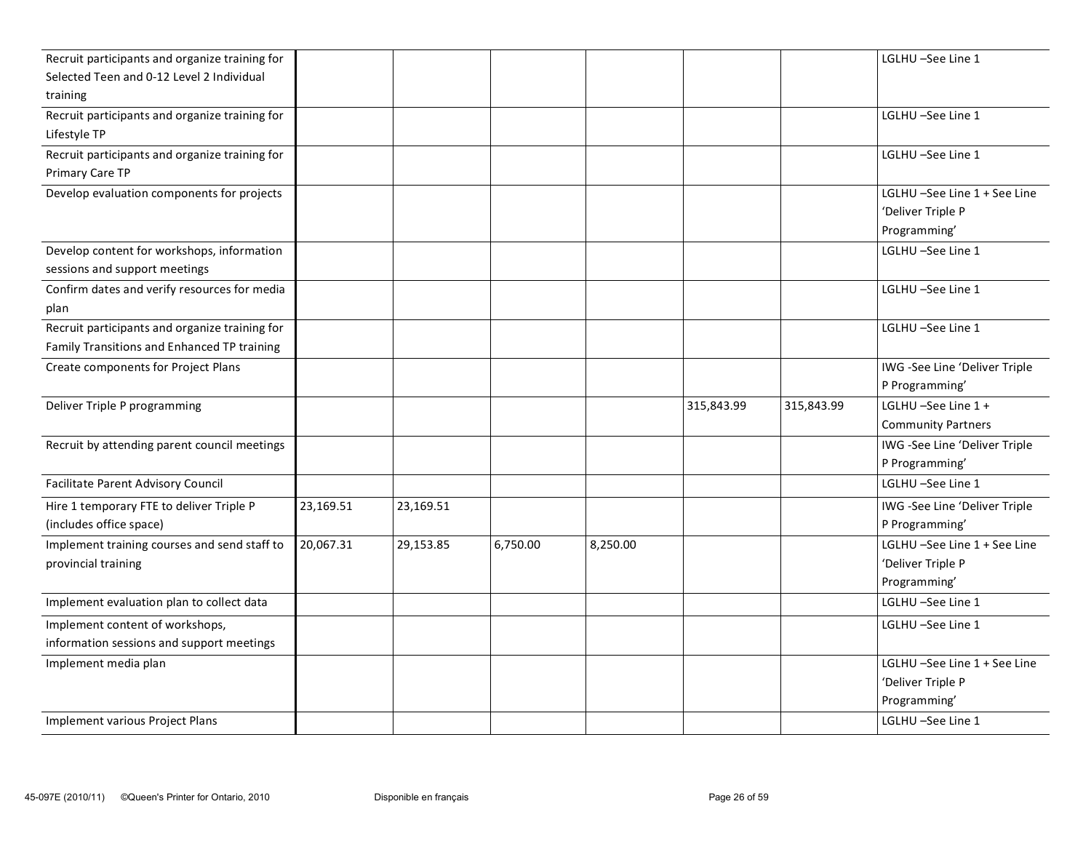| Recruit participants and organize training for |           |           |          |          |            |            | LGLHU-See Line 1                                                 |
|------------------------------------------------|-----------|-----------|----------|----------|------------|------------|------------------------------------------------------------------|
| Selected Teen and 0-12 Level 2 Individual      |           |           |          |          |            |            |                                                                  |
| training                                       |           |           |          |          |            |            |                                                                  |
| Recruit participants and organize training for |           |           |          |          |            |            | LGLHU-See Line 1                                                 |
| Lifestyle TP                                   |           |           |          |          |            |            |                                                                  |
| Recruit participants and organize training for |           |           |          |          |            |            | LGLHU-See Line 1                                                 |
| Primary Care TP                                |           |           |          |          |            |            |                                                                  |
| Develop evaluation components for projects     |           |           |          |          |            |            | LGLHU-See Line 1 + See Line<br>'Deliver Triple P<br>Programming' |
| Develop content for workshops, information     |           |           |          |          |            |            | LGLHU -See Line 1                                                |
| sessions and support meetings                  |           |           |          |          |            |            |                                                                  |
| Confirm dates and verify resources for media   |           |           |          |          |            |            | LGLHU-See Line 1                                                 |
| plan                                           |           |           |          |          |            |            |                                                                  |
| Recruit participants and organize training for |           |           |          |          |            |            | LGLHU-See Line 1                                                 |
| Family Transitions and Enhanced TP training    |           |           |          |          |            |            |                                                                  |
| Create components for Project Plans            |           |           |          |          |            |            | IWG -See Line 'Deliver Triple                                    |
|                                                |           |           |          |          |            |            | P Programming'                                                   |
| Deliver Triple P programming                   |           |           |          |          | 315,843.99 | 315,843.99 | LGLHU-See Line 1 +                                               |
|                                                |           |           |          |          |            |            | <b>Community Partners</b>                                        |
| Recruit by attending parent council meetings   |           |           |          |          |            |            | IWG -See Line 'Deliver Triple                                    |
|                                                |           |           |          |          |            |            | P Programming'                                                   |
| Facilitate Parent Advisory Council             |           |           |          |          |            |            | LGLHU-See Line 1                                                 |
| Hire 1 temporary FTE to deliver Triple P       | 23,169.51 | 23,169.51 |          |          |            |            | IWG -See Line 'Deliver Triple                                    |
| (includes office space)                        |           |           |          |          |            |            | P Programming'                                                   |
| Implement training courses and send staff to   | 20,067.31 | 29,153.85 | 6,750.00 | 8,250.00 |            |            | LGLHU-See Line 1 + See Line                                      |
| provincial training                            |           |           |          |          |            |            | 'Deliver Triple P                                                |
|                                                |           |           |          |          |            |            | Programming'                                                     |
| Implement evaluation plan to collect data      |           |           |          |          |            |            | LGLHU –See Line 1                                                |
| Implement content of workshops,                |           |           |          |          |            |            | LGLHU-See Line 1                                                 |
| information sessions and support meetings      |           |           |          |          |            |            |                                                                  |
| Implement media plan                           |           |           |          |          |            |            | LGLHU-See Line 1 + See Line                                      |
|                                                |           |           |          |          |            |            | 'Deliver Triple P                                                |
|                                                |           |           |          |          |            |            | Programming'                                                     |
| Implement various Project Plans                |           |           |          |          |            |            | LGLHU-See Line 1                                                 |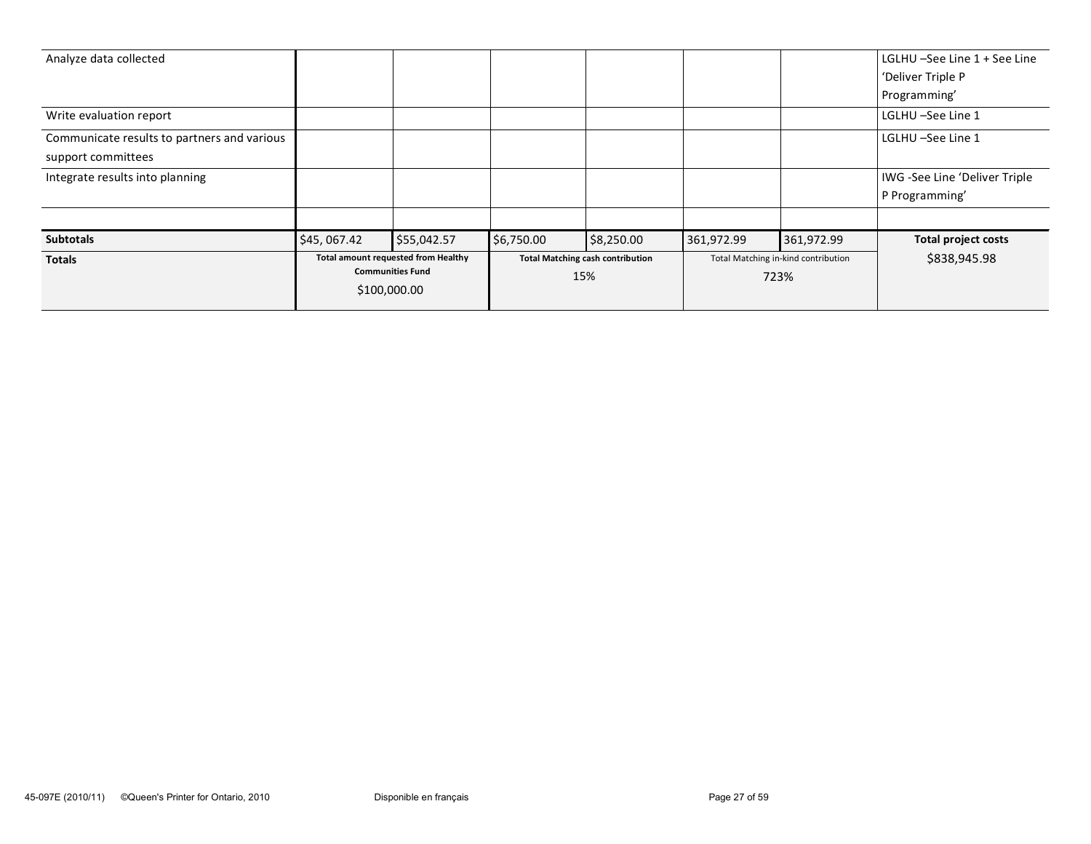|                                             | \$100,000.00                        |             |                                         |            |                                     |            |                               |
|---------------------------------------------|-------------------------------------|-------------|-----------------------------------------|------------|-------------------------------------|------------|-------------------------------|
|                                             | <b>Communities Fund</b>             |             | 15%                                     |            | 723%                                |            |                               |
| Totals                                      | Total amount requested from Healthy |             | <b>Total Matching cash contribution</b> |            | Total Matching in-kind contribution |            | \$838,945.98                  |
| <b>Subtotals</b>                            | \$45,067.42                         | \$55,042.57 | \$6,750.00                              | \$8,250.00 | 361,972.99                          | 361,972.99 | <b>Total project costs</b>    |
|                                             |                                     |             |                                         |            |                                     |            |                               |
|                                             |                                     |             |                                         |            |                                     |            | P Programming'                |
| Integrate results into planning             |                                     |             |                                         |            |                                     |            | IWG -See Line 'Deliver Triple |
| support committees                          |                                     |             |                                         |            |                                     |            |                               |
| Communicate results to partners and various |                                     |             |                                         |            |                                     |            | LGLHU –See Line 1             |
| Write evaluation report                     |                                     |             |                                         |            |                                     |            | LGLHU –See Line 1             |
|                                             |                                     |             |                                         |            |                                     |            | Programming'                  |
|                                             |                                     |             |                                         |            |                                     |            | 'Deliver Triple P             |
| Analyze data collected                      |                                     |             |                                         |            |                                     |            | LGLHU -See Line 1 + See Line  |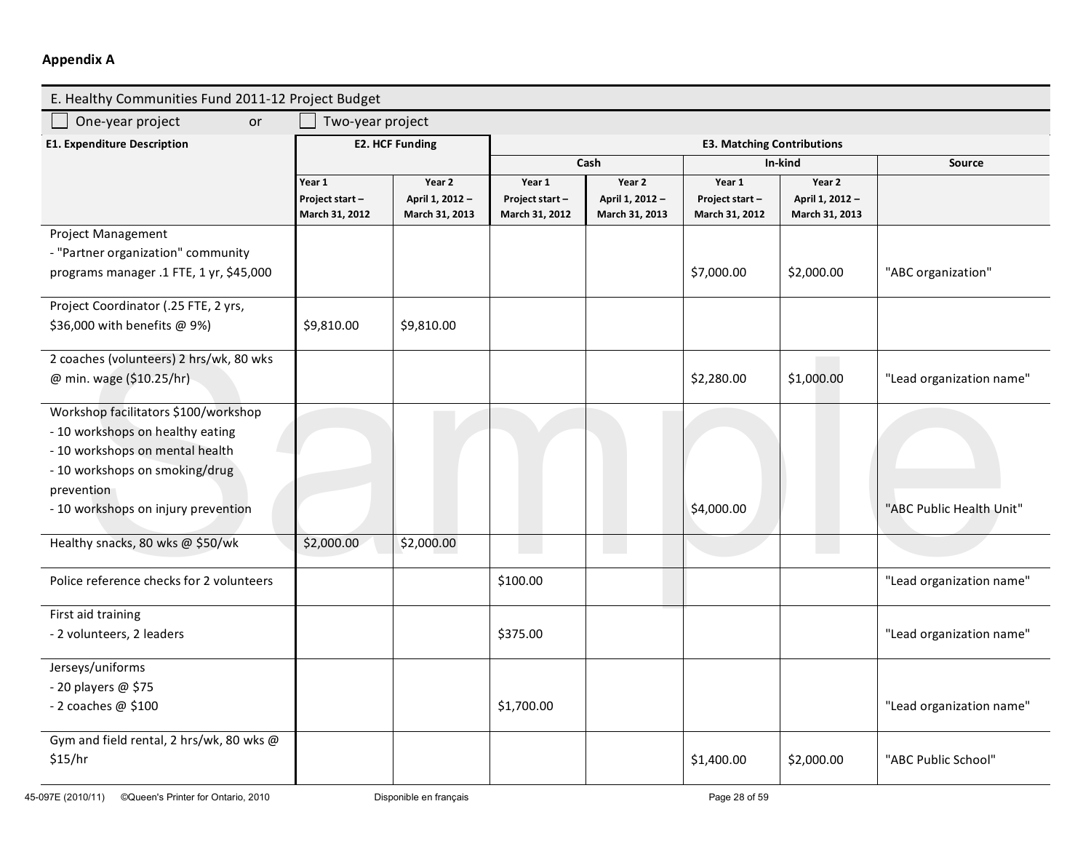## **Appendix A**

| E. Healthy Communities Fund 2011-12 Project Budget |                                            |                                             |                                            |                                             |                                            |                                             |                          |  |
|----------------------------------------------------|--------------------------------------------|---------------------------------------------|--------------------------------------------|---------------------------------------------|--------------------------------------------|---------------------------------------------|--------------------------|--|
| One-year project<br>or                             | Two-year project                           |                                             |                                            |                                             |                                            |                                             |                          |  |
| <b>E1. Expenditure Description</b>                 | <b>E2. HCF Funding</b>                     |                                             | <b>E3. Matching Contributions</b>          |                                             |                                            |                                             |                          |  |
|                                                    |                                            |                                             |                                            | Cash                                        |                                            | In-kind                                     | <b>Source</b>            |  |
|                                                    | Year 1<br>Project start-<br>March 31, 2012 | Year 2<br>April 1, 2012 -<br>March 31, 2013 | Year 1<br>Project start-<br>March 31, 2012 | Year 2<br>April 1, 2012 -<br>March 31, 2013 | Year 1<br>Project start-<br>March 31, 2012 | Year 2<br>April 1, 2012 -<br>March 31, 2013 |                          |  |
| <b>Project Management</b>                          |                                            |                                             |                                            |                                             |                                            |                                             |                          |  |
| - "Partner organization" community                 |                                            |                                             |                                            |                                             |                                            |                                             |                          |  |
| programs manager .1 FTE, 1 yr, \$45,000            |                                            |                                             |                                            |                                             | \$7,000.00                                 | \$2,000.00                                  | "ABC organization"       |  |
| Project Coordinator (.25 FTE, 2 yrs,               |                                            |                                             |                                            |                                             |                                            |                                             |                          |  |
| \$36,000 with benefits @ 9%)                       | \$9,810.00                                 | \$9,810.00                                  |                                            |                                             |                                            |                                             |                          |  |
| 2 coaches (volunteers) 2 hrs/wk, 80 wks            |                                            |                                             |                                            |                                             |                                            |                                             |                          |  |
| @ min. wage (\$10.25/hr)                           |                                            |                                             |                                            |                                             | \$2,280.00                                 | \$1,000.00                                  | "Lead organization name" |  |
| Workshop facilitators \$100/workshop               |                                            |                                             |                                            |                                             |                                            |                                             |                          |  |
| - 10 workshops on healthy eating                   |                                            |                                             |                                            |                                             |                                            |                                             |                          |  |
| - 10 workshops on mental health                    |                                            |                                             |                                            |                                             |                                            |                                             |                          |  |
| - 10 workshops on smoking/drug                     |                                            |                                             |                                            |                                             |                                            |                                             |                          |  |
| prevention                                         |                                            |                                             |                                            |                                             |                                            |                                             |                          |  |
| - 10 workshops on injury prevention                |                                            |                                             |                                            |                                             | \$4,000.00                                 |                                             | "ABC Public Health Unit" |  |
| Healthy snacks, 80 wks @ \$50/wk                   | \$2,000.00                                 | \$2,000.00                                  |                                            |                                             |                                            |                                             |                          |  |
| Police reference checks for 2 volunteers           |                                            |                                             | \$100.00                                   |                                             |                                            |                                             | "Lead organization name" |  |
| First aid training                                 |                                            |                                             |                                            |                                             |                                            |                                             |                          |  |
| - 2 volunteers, 2 leaders                          |                                            |                                             | \$375.00                                   |                                             |                                            |                                             | "Lead organization name" |  |
| Jerseys/uniforms                                   |                                            |                                             |                                            |                                             |                                            |                                             |                          |  |
| - 20 players @ \$75                                |                                            |                                             |                                            |                                             |                                            |                                             |                          |  |
| - 2 coaches @ \$100                                |                                            |                                             | \$1,700.00                                 |                                             |                                            |                                             | "Lead organization name" |  |
| Gym and field rental, 2 hrs/wk, 80 wks @           |                                            |                                             |                                            |                                             |                                            |                                             |                          |  |
| \$15/hr                                            |                                            |                                             |                                            |                                             | \$1,400.00                                 | \$2,000.00                                  | "ABC Public School"      |  |